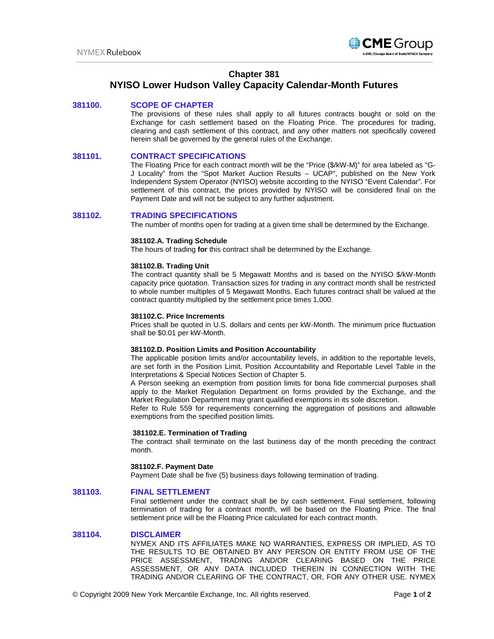

## **Chapter 381**

# **NYISO Lower Hudson Valley Capacity Calendar-Month Futures**

## **381100. SCOPE OF CHAPTER**

The provisions of these rules shall apply to all futures contracts bought or sold on the Exchange for cash settlement based on the Floating Price. The procedures for trading, clearing and cash settlement of this contract, and any other matters not specifically covered herein shall be governed by the general rules of the Exchange.

## **381101. CONTRACT SPECIFICATIONS**

The Floating Price for each contract month will be the "Price (\$/kW-M)" for area labeled as "G-J Locality" from the "Spot Market Auction Results – UCAP", published on the New York Independent System Operator (NYISO) website according to the NYISO "Event Calendar". For settlement of this contract, the prices provided by NYISO will be considered final on the Payment Date and will not be subject to any further adjustment.

## **381102. TRADING SPECIFICATIONS**

The number of months open for trading at a given time shall be determined by the Exchange.

#### **381102.A. Trading Schedule**

The hours of trading **for** this contract shall be determined by the Exchange.

#### **381102.B. Trading Unit**

The contract quantity shall be 5 Megawatt Months and is based on the NYISO \$/kW-Month capacity price quotation. Transaction sizes for trading in any contract month shall be restricted to whole number multiples of 5 Megawatt Months. Each futures contract shall be valued at the contract quantity multiplied by the settlement price times 1,000.

#### **381102.C. Price Increments**

Prices shall be quoted in U.S. dollars and cents per kW-Month. The minimum price fluctuation shall be \$0.01 per kW-Month.

#### **381102.D. Position Limits and Position Accountability**

The applicable position limits and/or accountability levels, in addition to the reportable levels, are set forth in the Position Limit, Position Accountability and Reportable Level Table in the Interpretations & Special Notices Section of Chapter 5.

A Person seeking an exemption from position limits for bona fide commercial purposes shall apply to the Market Regulation Department on forms provided by the Exchange, and the Market Regulation Department may grant qualified exemptions in its sole discretion.

Refer to Rule 559 for requirements concerning the aggregation of positions and allowable exemptions from the specified position limits.

#### **381102.E. Termination of Trading**

The contract shall terminate on the last business day of the month preceding the contract month.

### **381102.F. Payment Date**

Payment Date shall be five (5) business days following termination of trading.

#### **381103. FINAL SETTLEMENT**

Final settlement under the contract shall be by cash settlement. Final settlement, following termination of trading for a contract month, will be based on the Floating Price. The final settlement price will be the Floating Price calculated for each contract month.

#### **381104. DISCLAIMER**

NYMEX AND ITS AFFILIATES MAKE NO WARRANTIES, EXPRESS OR IMPLIED, AS TO THE RESULTS TO BE OBTAINED BY ANY PERSON OR ENTITY FROM USE OF THE PRICE ASSESSMENT, TRADING AND/OR CLEARING BASED ON THE PRICE ASSESSMENT, OR ANY DATA INCLUDED THEREIN IN CONNECTION WITH THE TRADING AND/OR CLEARING OF THE CONTRACT, OR, FOR ANY OTHER USE. NYMEX